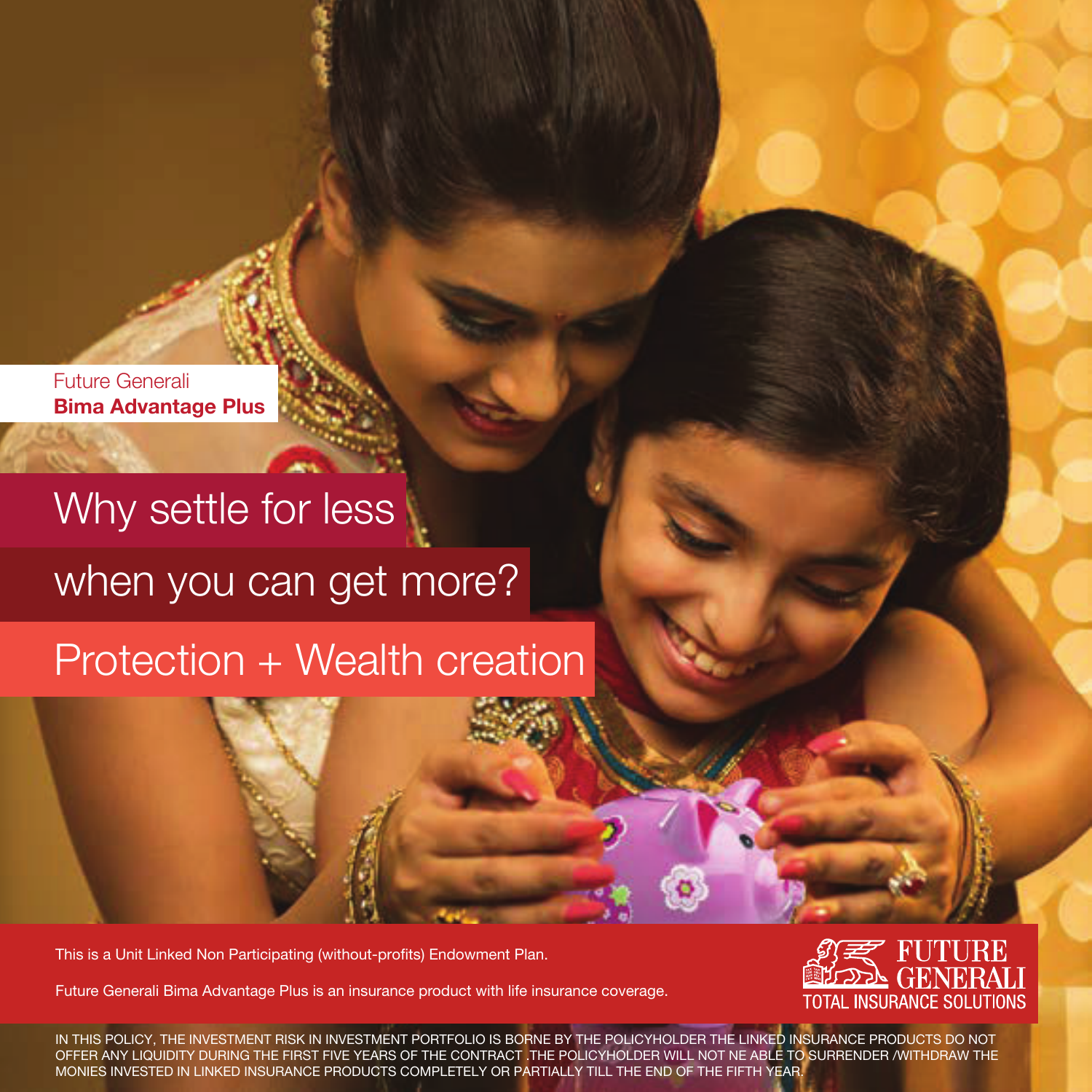Future Generali **Bima Advantage Plus**

# Why settle for less

when you can get more?

# Protection + Wealth creation

This is a Unit Linked Non Participating (without-profits) Endowment Plan.

Future Generali Bima Advantage Plus is an insurance product with life insurance coverage.



IN THIS POLICY, THE INVESTMENT RISK IN INVESTMENT PORTFOLIO IS BORNE BY THE POLICYHOLDER THE LINKED INSURANCE PRODUCTS DO NOT OFFER ANY LIQUIDITY DURING THE FIRST FIVE YEARS OF THE CONTRACT .THE POLICYHOLDER WILL NOT NE ABLE TO SURRENDER /WITHDRAW THE MONIES INVESTED IN LINKED INSURANCE PRODUCTS COMPLETELY OR PARTIALLY TILL THE END OF THE FIFTH YEAR.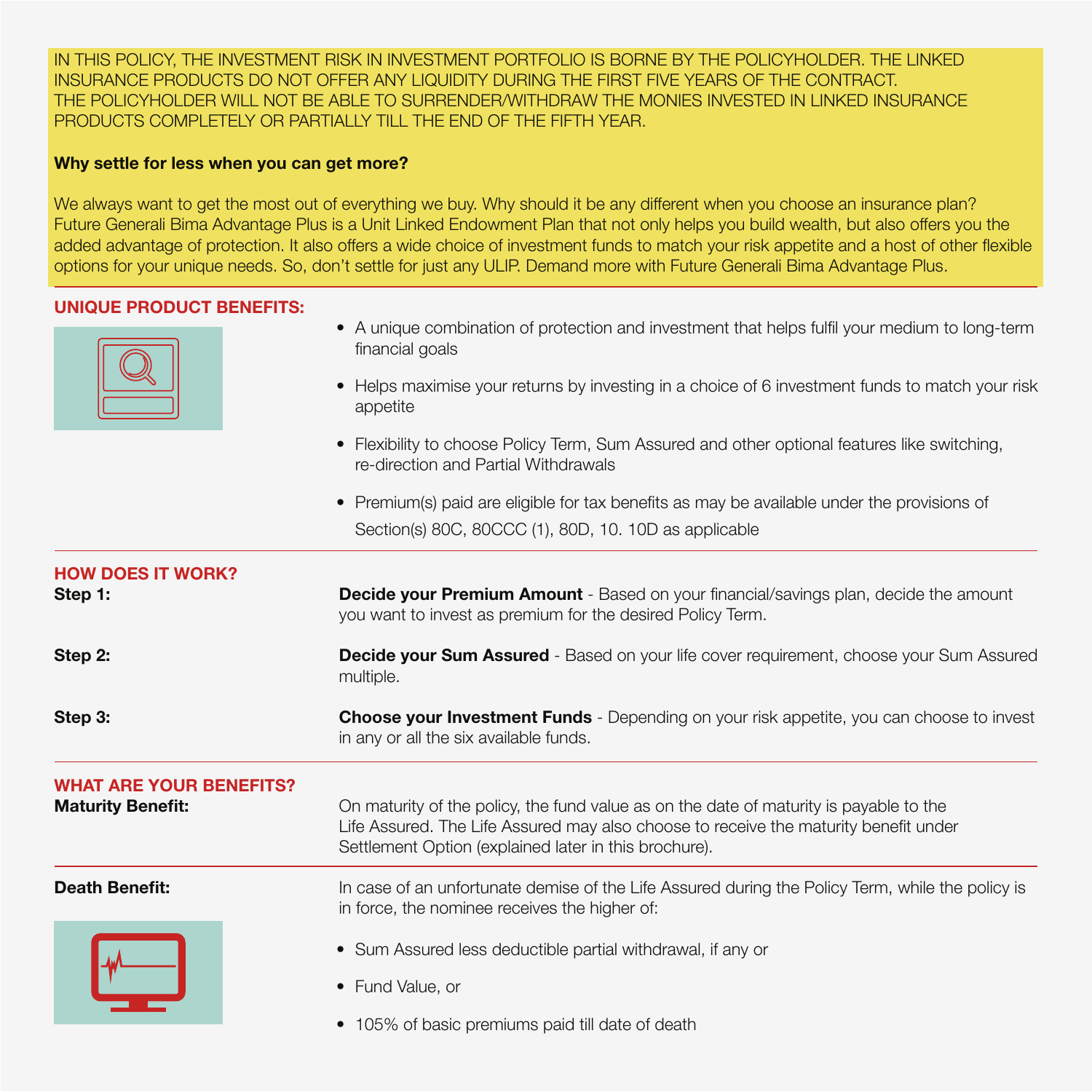IN THIS POLICY, THE INVESTMENT RISK IN INVESTMENT PORTFOLIO IS BORNE BY THE POLICYHOLDER. THE LINKED INSURANCE PRODUCTS DO NOT OFFER ANY LIQUIDITY DURING THE FIRST FIVE YEARS OF THE CONTRACT. THE POLICYHOLDER WILL NOT BE ABLE TO SURRENDER/WITHDRAW THE MONIES INVESTED IN LINKED INSURANCE PRODUCTS COMPLETELY OR PARTIALLY TILL THE END OF THE FIFTH YEAR.

# **Why settle for less when you can get more?**

We always want to get the most out of everything we buy. Why should it be any different when you choose an insurance plan? Future Generali Bima Advantage Plus is a Unit Linked Endowment Plan that not only helps you build wealth, but also offers you the added advantage of protection. It also offers a wide choice of investment funds to match your risk appetite and a host of other flexible options for your unique needs. So, don't settle for just any ULIP. Demand more with Future Generali Bima Advantage Plus.

# **UNIQUE PRODUCT BENEFITS:**

- A unique combination of protection and investment that helps fulfil your medium to long-term financial goals
- Helps maximise your returns by investing in a choice of 6 investment funds to match your risk appetite
- Flexibility to choose Policy Term, Sum Assured and other optional features like switching, re-direction and Partial Withdrawals
- Premium(s) paid are eligible for tax benefits as may be available under the provisions of Section(s) 80C, 80CCC (1), 80D, 10. 10D as applicable

| <b>HOW DOES IT WORK?</b><br>Step 1:                        | <b>Decide your Premium Amount</b> - Based on your financial/savings plan, decide the amount<br>you want to invest as premium for the desired Policy Term.                                                                               |
|------------------------------------------------------------|-----------------------------------------------------------------------------------------------------------------------------------------------------------------------------------------------------------------------------------------|
| Step 2:                                                    | <b>Decide your Sum Assured</b> - Based on your life cover requirement, choose your Sum Assured<br>multiple.                                                                                                                             |
| Step 3:                                                    | <b>Choose your Investment Funds</b> - Depending on your risk appetite, you can choose to invest<br>in any or all the six available funds.                                                                                               |
| <b>WHAT ARE YOUR BENEFITS?</b><br><b>Maturity Benefit:</b> | On maturity of the policy, the fund value as on the date of maturity is payable to the<br>Life Assured. The Life Assured may also choose to receive the maturity benefit under<br>Settlement Option (explained later in this brochure). |
| <b>Death Benefit:</b>                                      | In case of an unfortunate demise of the Life Assured during the Policy Term, while the policy is<br>in force, the nominee receives the higher of:                                                                                       |
|                                                            | • Sum Assured less deductible partial withdrawal, if any or<br>• Fund Value, or<br>• 105% of basic premiums paid till date of death                                                                                                     |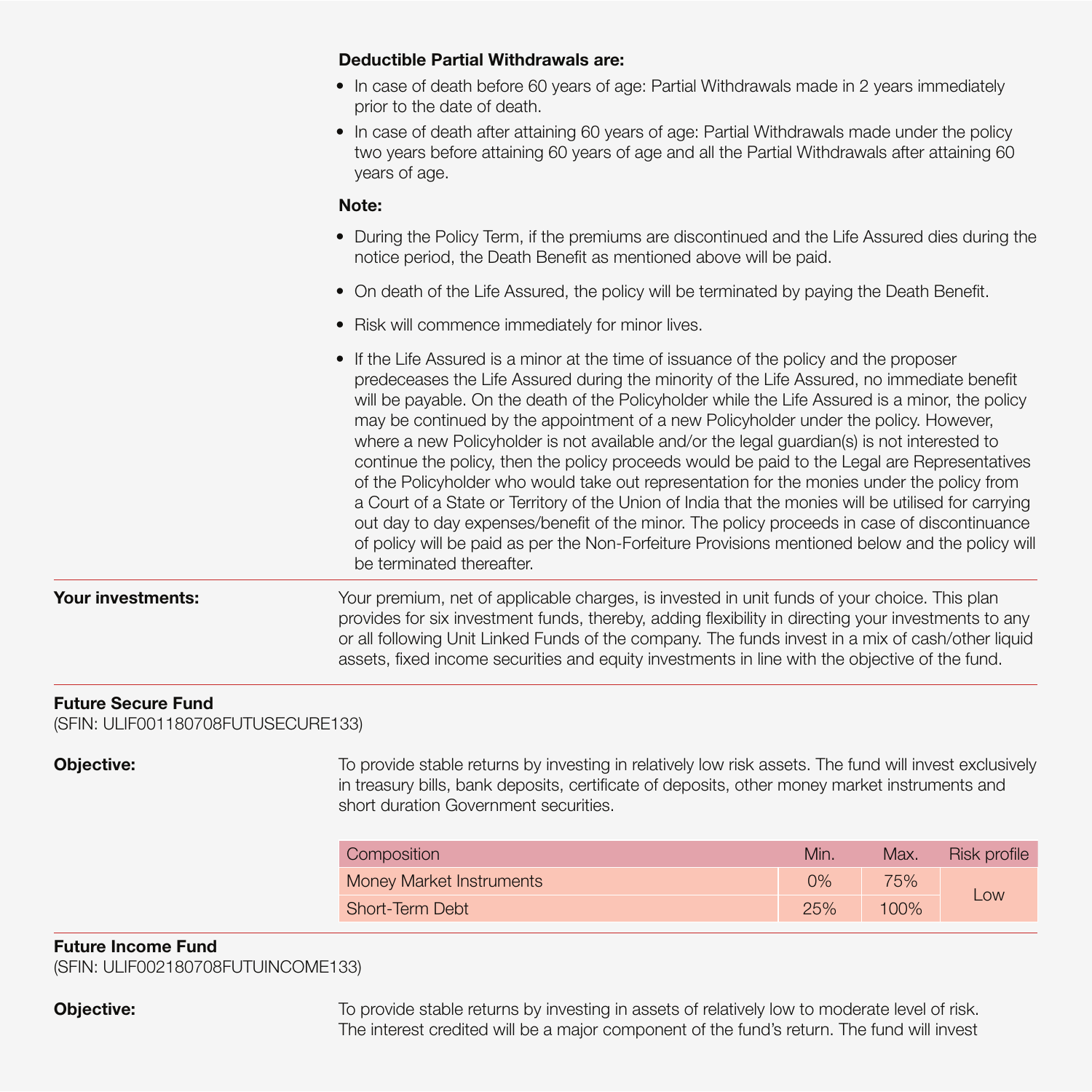## **Deductible Partial Withdrawals are:**

- In case of death before 60 years of age: Partial Withdrawals made in 2 years immediately prior to the date of death.
- In case of death after attaining 60 years of age: Partial Withdrawals made under the policy two years before attaining 60 years of age and all the Partial Withdrawals after attaining 60 years of age.

### **Note:**

- During the Policy Term, if the premiums are discontinued and the Life Assured dies during the notice period, the Death Benefit as mentioned above will be paid.
- On death of the Life Assured, the policy will be terminated by paying the Death Benefit.
- Risk will commence immediately for minor lives.
- If the Life Assured is a minor at the time of issuance of the policy and the proposer predeceases the Life Assured during the minority of the Life Assured, no immediate benefit will be payable. On the death of the Policyholder while the Life Assured is a minor, the policy may be continued by the appointment of a new Policyholder under the policy. However, where a new Policyholder is not available and/or the legal guardian(s) is not interested to continue the policy, then the policy proceeds would be paid to the Legal are Representatives of the Policyholder who would take out representation for the monies under the policy from a Court of a State or Territory of the Union of India that the monies will be utilised for carrying out day to day expenses/benefit of the minor. The policy proceeds in case of discontinuance of policy will be paid as per the Non-Forfeiture Provisions mentioned below and the policy will be terminated thereafter.

**Your investments:** Your premium, net of applicable charges, is invested in unit funds of your choice. This plan provides for six investment funds, thereby, adding flexibility in directing your investments to any or all following Unit Linked Funds of the company. The funds invest in a mix of cash/other liquid assets, fixed income securities and equity investments in line with the objective of the fund.

# **Future Secure Fund**

(SFIN: ULIF001180708FUTUSECURE133)

**Objective:** To provide stable returns by investing in relatively low risk assets. The fund will invest exclusively in treasury bills, bank deposits, certificate of deposits, other money market instruments and short duration Government securities.

| Composition              | Min. | Max. | Risk profile |
|--------------------------|------|------|--------------|
| Money Market Instruments | 0%   | 75%  |              |
| Short-Term Debt          | 25%  | 100% | Low          |

# **Future Income Fund**

(SFIN: ULIF002180708FUTUINCOME133)

**Objective:** To provide stable returns by investing in assets of relatively low to moderate level of risk. The interest credited will be a major component of the fund's return. The fund will invest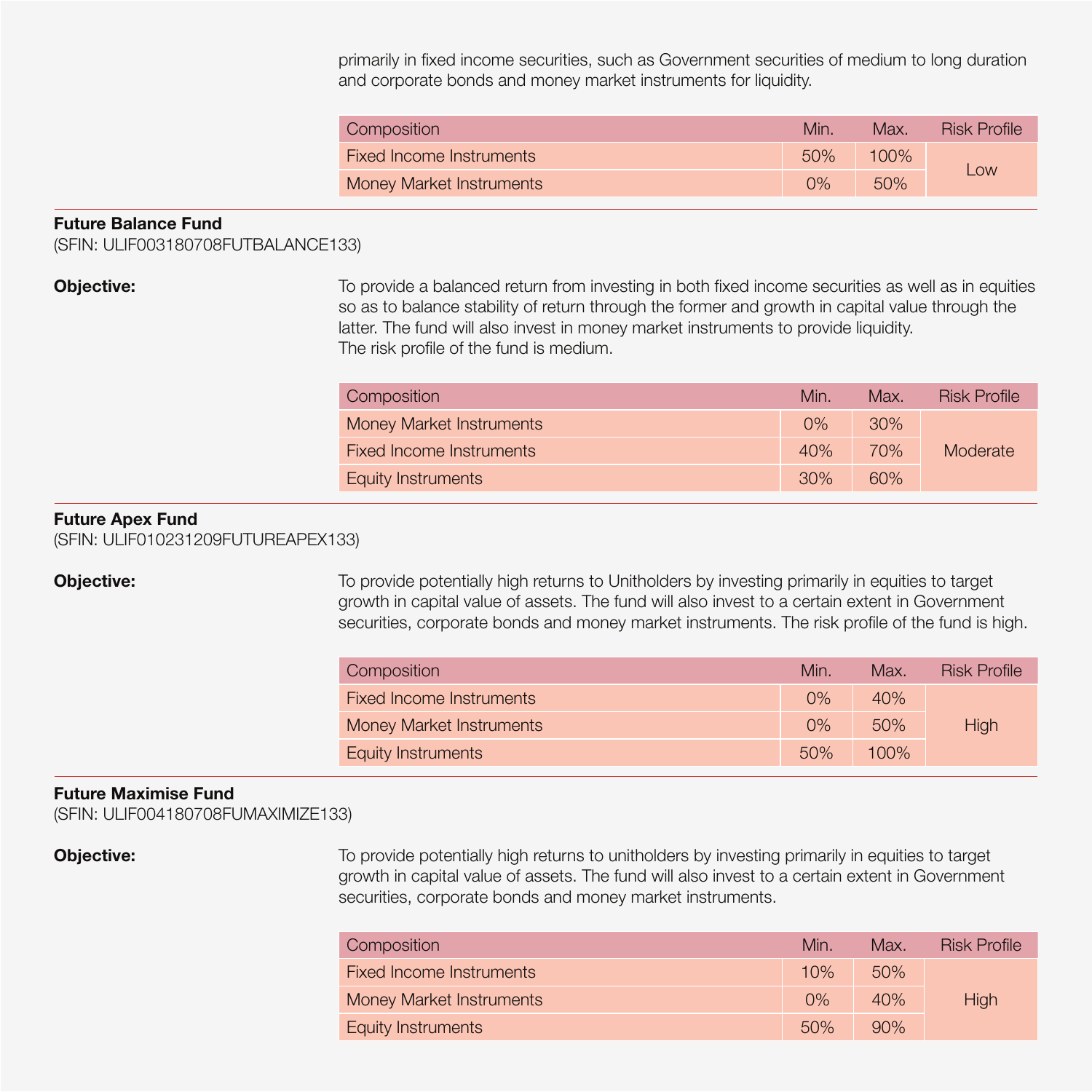primarily in fixed income securities, such as Government securities of medium to long duration and corporate bonds and money market instruments for liquidity.

| Composition              | Min   | Max.    | <b>Risk Profile</b> |  |
|--------------------------|-------|---------|---------------------|--|
| Fixed Income Instruments | 50%   | $100\%$ |                     |  |
| Money Market Instruments | $0\%$ | 50%     | Low                 |  |

### **Future Balance Fund**

(SFIN: ULIF003180708FUTBALANCE133)

**Objective:** To provide a balanced return from investing in both fixed income securities as well as in equities so as to balance stability of return through the former and growth in capital value through the latter. The fund will also invest in money market instruments to provide liquidity. The risk profile of the fund is medium.

| Composition                     | Min.  | Max. | Risk Profile |
|---------------------------------|-------|------|--------------|
| <b>Money Market Instruments</b> | $0\%$ | 30%  |              |
| Fixed Income Instruments        | 40%   | 70%  | Moderate     |
| Equity Instruments              | 30%   | 60%  |              |

## **Future Apex Fund**

(SFIN: ULIF010231209FUTUREAPEX133)

**Objective:** To provide potentially high returns to Unitholders by investing primarily in equities to target growth in capital value of assets. The fund will also invest to a certain extent in Government securities, corporate bonds and money market instruments. The risk profile of the fund is high.

| <b>Composition</b>       | Min.  | Max.    | <b>Risk Profile</b> |
|--------------------------|-------|---------|---------------------|
| Fixed Income Instruments | $0\%$ | 40%     |                     |
| Money Market Instruments | $0\%$ | 50%     | High                |
| Equity Instruments       | 50%   | $100\%$ |                     |

### **Future Maximise Fund**

(SFIN: ULIF004180708FUMAXIMIZE133)

**Objective:** To provide potentially high returns to unitholders by investing primarily in equities to target growth in capital value of assets. The fund will also invest to a certain extent in Government securities, corporate bonds and money market instruments.

| Composition              | Min.  | Max. | <b>Risk Profile</b> |
|--------------------------|-------|------|---------------------|
| Fixed Income Instruments | 10%   | 50%  |                     |
| Money Market Instruments | $0\%$ | 40%  | High                |
| Equity Instruments       | 50%   | 90%  |                     |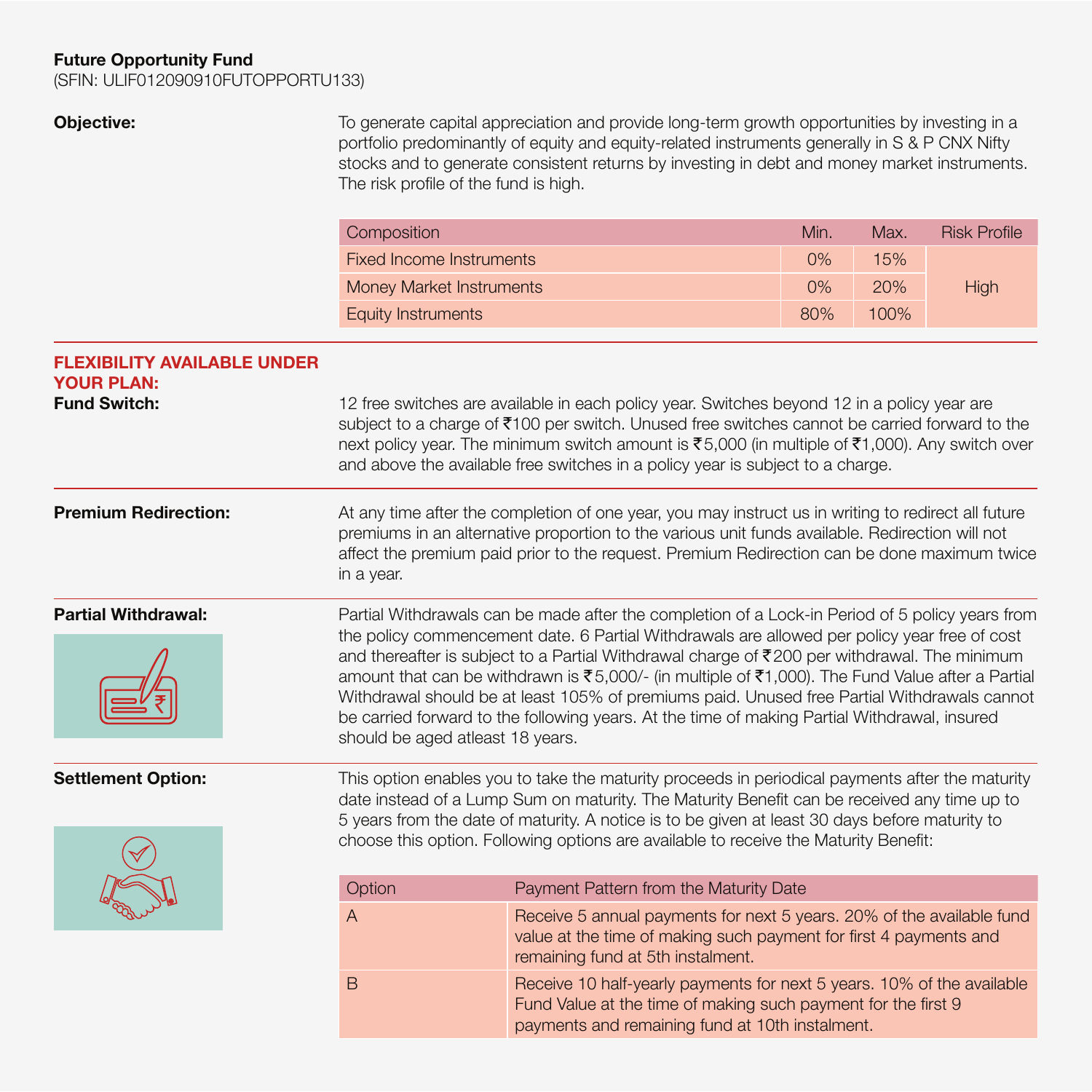# **Future Opportunity Fund**

(SFIN: ULIF012090910FUTOPPORTU133)

**Objective:** To generate capital appreciation and provide long-term growth opportunities by investing in a portfolio predominantly of equity and equity-related instruments generally in S & P CNX Nifty stocks and to generate consistent returns by investing in debt and money market instruments. The risk profile of the fund is high.

| Composition               | Min.  | Max.    | <b>Risk Profile</b> |
|---------------------------|-------|---------|---------------------|
| Fixed Income Instruments  | $0\%$ | 15%     |                     |
| Money Market Instruments  | $0\%$ | 20%     | High                |
| <b>Equity Instruments</b> | 80%   | $100\%$ |                     |

payments and remaining fund at 10th instalment.

| <b>FLEXIBILITY AVAILABLE UNDER</b><br><b>YOUR PLAN:</b> |                                  |                                                                                                                                                                                                                                                                                                                                                                                                                                                                                                                                                                                                    |
|---------------------------------------------------------|----------------------------------|----------------------------------------------------------------------------------------------------------------------------------------------------------------------------------------------------------------------------------------------------------------------------------------------------------------------------------------------------------------------------------------------------------------------------------------------------------------------------------------------------------------------------------------------------------------------------------------------------|
| <b>Fund Switch:</b>                                     |                                  | 12 free switches are available in each policy year. Switches beyond 12 in a policy year are<br>subject to a charge of ₹100 per switch. Unused free switches cannot be carried forward to the<br>next policy year. The minimum switch amount is ₹5,000 (in multiple of ₹1,000). Any switch over<br>and above the available free switches in a policy year is subject to a charge.                                                                                                                                                                                                                   |
| <b>Premium Redirection:</b>                             | in a year.                       | At any time after the completion of one year, you may instruct us in writing to redirect all future<br>premiums in an alternative proportion to the various unit funds available. Redirection will not<br>affect the premium paid prior to the request. Premium Redirection can be done maximum twice                                                                                                                                                                                                                                                                                              |
| <b>Partial Withdrawal:</b>                              | should be aged atleast 18 years. | Partial Withdrawals can be made after the completion of a Lock-in Period of 5 policy years from<br>the policy commencement date. 6 Partial Withdrawals are allowed per policy year free of cost<br>and thereafter is subject to a Partial Withdrawal charge of ₹200 per withdrawal. The minimum<br>amount that can be withdrawn is ₹5,000/- (in multiple of ₹1,000). The Fund Value after a Partial<br>Withdrawal should be at least 105% of premiums paid. Unused free Partial Withdrawals cannot<br>be carried forward to the following years. At the time of making Partial Withdrawal, insured |
| <b>Settlement Option:</b>                               |                                  | This option enables you to take the maturity proceeds in periodical payments after the maturity<br>date instead of a Lump Sum on maturity. The Maturity Benefit can be received any time up to<br>5 years from the date of maturity. A notice is to be given at least 30 days before maturity to<br>choose this option. Following options are available to receive the Maturity Benefit:                                                                                                                                                                                                           |
|                                                         | Option                           | Payment Pattern from the Maturity Date                                                                                                                                                                                                                                                                                                                                                                                                                                                                                                                                                             |
|                                                         | Α                                | Receive 5 annual payments for next 5 years. 20% of the available fund<br>value at the time of making such payment for first 4 payments and<br>remaining fund at 5th instalment.                                                                                                                                                                                                                                                                                                                                                                                                                    |
|                                                         | B                                | Receive 10 half-yearly payments for next 5 years. 10% of the available<br>Fund Value at the time of making such payment for the first 9                                                                                                                                                                                                                                                                                                                                                                                                                                                            |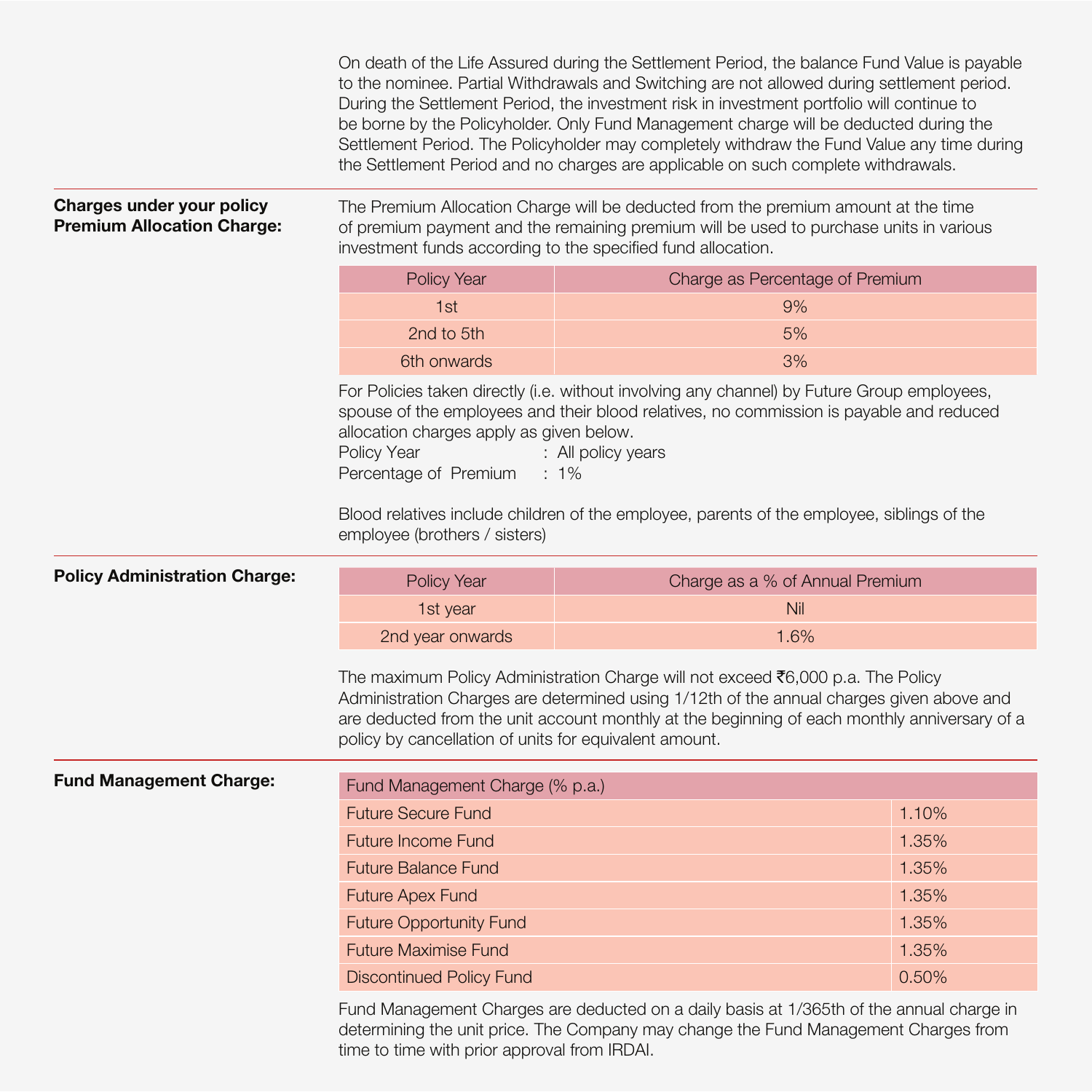On death of the Life Assured during the Settlement Period, the balance Fund Value is payable to the nominee. Partial Withdrawals and Switching are not allowed during settlement period. During the Settlement Period, the investment risk in investment portfolio will continue to be borne by the Policyholder. Only Fund Management charge will be deducted during the Settlement Period. The Policyholder may completely withdraw the Fund Value any time during the Settlement Period and no charges are applicable on such complete withdrawals.

### **Charges under your policy Premium Allocation Charge:**

The Premium Allocation Charge will be deducted from the premium amount at the time of premium payment and the remaining premium will be used to purchase units in various investment funds according to the specified fund allocation.

| Policy Year | Charge as Percentage of Premium |
|-------------|---------------------------------|
| 1st         | 9%                              |
| 2nd to 5th  | 5%                              |
| 6th onwards | 3%                              |

For Policies taken directly (i.e. without involving any channel) by Future Group employees, spouse of the employees and their blood relatives, no commission is payable and reduced allocation charges apply as given below.

Policy Year : All policy years Percentage of Premium : 1%

Blood relatives include children of the employee, parents of the employee, siblings of the employee (brothers / sisters)

| <b>Policy Administration Charge:</b> | Policy Year      | Charge as a % of Annual Premium |
|--------------------------------------|------------------|---------------------------------|
|                                      | 1st vear         | Nil                             |
|                                      | 2nd year onwards | 1.6%                            |

The maximum Policy Administration Charge will not exceed  $\bar{\bar{\epsilon}}$ 6,000 p.a. The Policy Administration Charges are determined using 1/12th of the annual charges given above and are deducted from the unit account monthly at the beginning of each monthly anniversary of a policy by cancellation of units for equivalent amount.

| <b>Fund Management Charge:</b> | Fund Management Charge (% p.a.) |       |  |
|--------------------------------|---------------------------------|-------|--|
|                                | <b>Future Secure Fund</b>       | 1.10% |  |
|                                | <b>Future Income Fund</b>       | 1.35% |  |
|                                | <b>Future Balance Fund</b>      | 1.35% |  |
|                                | <b>Future Apex Fund</b>         | 1.35% |  |
|                                | <b>Future Opportunity Fund</b>  | 1.35% |  |
|                                | <b>Future Maximise Fund</b>     | 1.35% |  |
|                                | <b>Discontinued Policy Fund</b> | 0.50% |  |

Fund Management Charges are deducted on a daily basis at 1/365th of the annual charge in determining the unit price. The Company may change the Fund Management Charges from time to time with prior approval from IRDAI.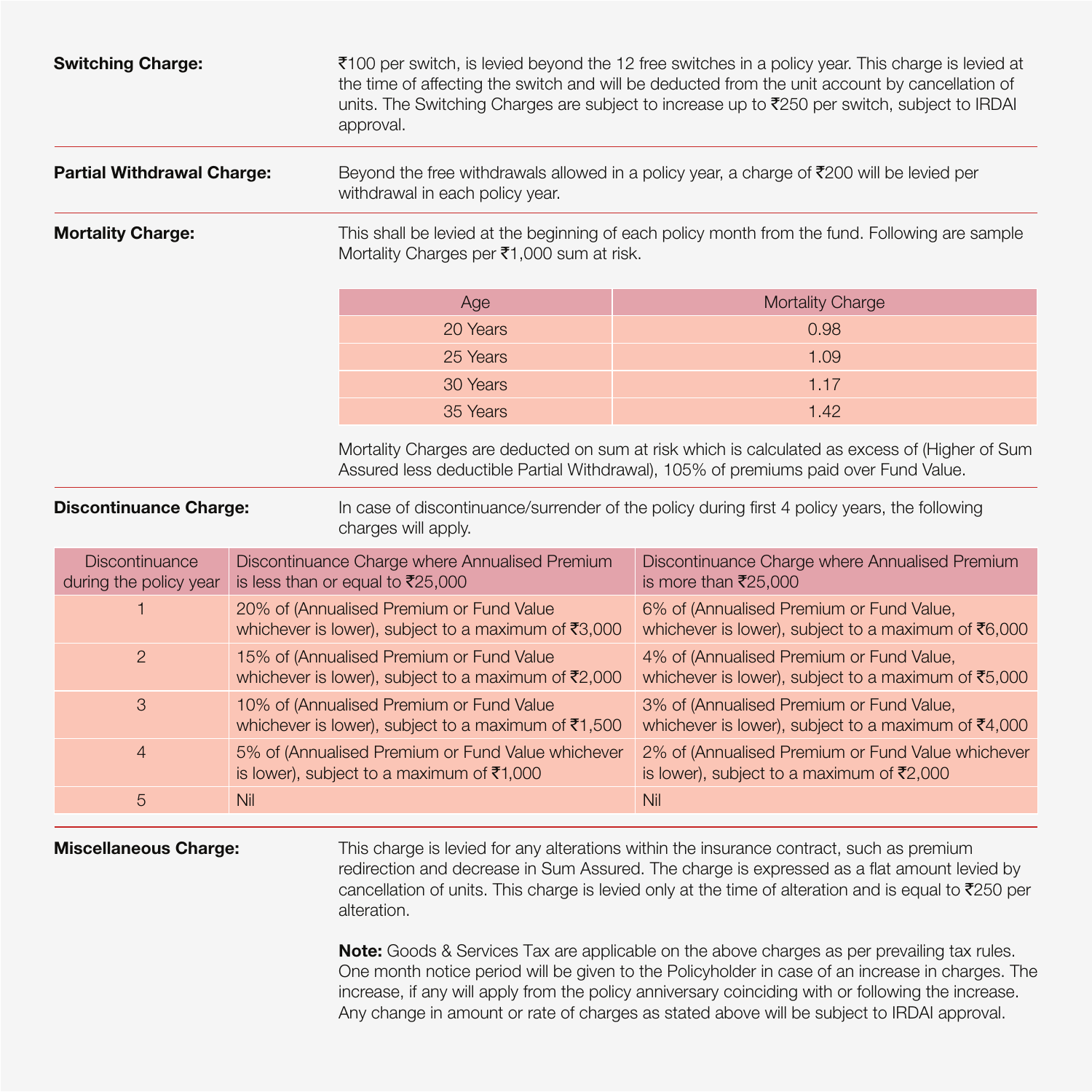| <b>Switching Charge:</b>                 |     | approval.                                                                                                                                   | ₹100 per switch, is levied beyond the 12 free switches in a policy year. This charge is levied at<br>the time of affecting the switch and will be deducted from the unit account by cancellation of<br>units. The Switching Charges are subject to increase up to ₹250 per switch, subject to IRDAI |  |
|------------------------------------------|-----|---------------------------------------------------------------------------------------------------------------------------------------------|-----------------------------------------------------------------------------------------------------------------------------------------------------------------------------------------------------------------------------------------------------------------------------------------------------|--|
| <b>Partial Withdrawal Charge:</b>        |     | withdrawal in each policy year.                                                                                                             | Beyond the free withdrawals allowed in a policy year, a charge of ₹200 will be levied per                                                                                                                                                                                                           |  |
| <b>Mortality Charge:</b>                 |     | This shall be levied at the beginning of each policy month from the fund. Following are sample<br>Mortality Charges per ₹1,000 sum at risk. |                                                                                                                                                                                                                                                                                                     |  |
|                                          |     | Age                                                                                                                                         | <b>Mortality Charge</b>                                                                                                                                                                                                                                                                             |  |
|                                          |     | 20 Years                                                                                                                                    | 0.98                                                                                                                                                                                                                                                                                                |  |
|                                          |     | 25 Years                                                                                                                                    | 1.09                                                                                                                                                                                                                                                                                                |  |
|                                          |     | 30 Years                                                                                                                                    | 1.17                                                                                                                                                                                                                                                                                                |  |
|                                          |     | 35 Years                                                                                                                                    | 1.42                                                                                                                                                                                                                                                                                                |  |
|                                          |     |                                                                                                                                             | Mortality Charges are deducted on sum at risk which is calculated as excess of (Higher of Sum<br>Assured less deductible Partial Withdrawal), 105% of premiums paid over Fund Value.                                                                                                                |  |
| <b>Discontinuance Charge:</b>            |     | charges will apply.                                                                                                                         | In case of discontinuance/surrender of the policy during first 4 policy years, the following                                                                                                                                                                                                        |  |
| Discontinuance<br>during the policy year |     | Discontinuance Charge where Annualised Premium<br>is less than or equal to ₹25,000                                                          | Discontinuance Charge where Annualised Premium<br>is more than ₹25,000                                                                                                                                                                                                                              |  |
|                                          |     | 20% of (Annualised Premium or Fund Value<br>whichever is lower), subject to a maximum of $\overline{\mathfrak{F}}3,000$                     | 6% of (Annualised Premium or Fund Value,<br>whichever is lower), subject to a maximum of ₹6,000                                                                                                                                                                                                     |  |
| $\overline{2}$                           |     | 15% of (Annualised Premium or Fund Value<br>whichever is lower), subject to a maximum of $\bar{\mathfrak{r}}2,000$                          | 4% of (Annualised Premium or Fund Value,<br>whichever is lower), subject to a maximum of ₹5,000                                                                                                                                                                                                     |  |
| $\mathcal{S}$                            |     | 10% of (Annualised Premium or Fund Value<br>whichever is lower), subject to a maximum of ₹1,500                                             | 3% of (Annualised Premium or Fund Value,<br>whichever is lower), subject to a maximum of $\bar{e}4,000$                                                                                                                                                                                             |  |
| $\overline{4}$                           |     | 5% of (Annualised Premium or Fund Value whichever<br>is lower), subject to a maximum of ₹1,000                                              | 2% of (Annualised Premium or Fund Value whichever<br>is lower), subject to a maximum of ₹2,000                                                                                                                                                                                                      |  |
| 5                                        | Nil |                                                                                                                                             | Nil                                                                                                                                                                                                                                                                                                 |  |

**Miscellaneous Charge:** This charge is levied for any alterations within the insurance contract, such as premium redirection and decrease in Sum Assured. The charge is expressed as a flat amount levied by cancellation of units. This charge is levied only at the time of alteration and is equal to  $\bar{z}$ 250 per alteration.

> **Note:** Goods & Services Tax are applicable on the above charges as per prevailing tax rules. One month notice period will be given to the Policyholder in case of an increase in charges. The increase, if any will apply from the policy anniversary coinciding with or following the increase. Any change in amount or rate of charges as stated above will be subject to IRDAI approval.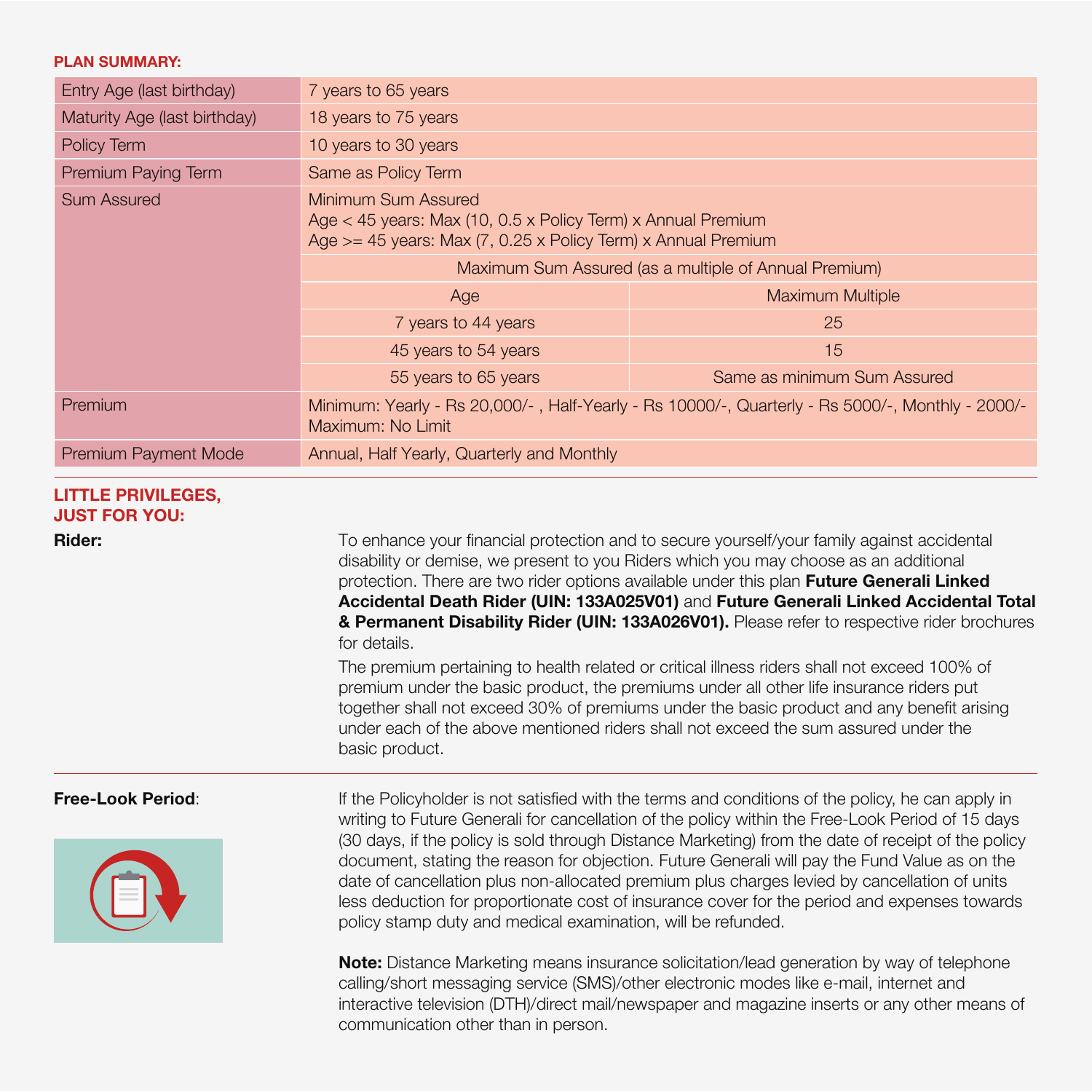### **PLAN SUMMARY:**

| Entry Age (last birthday)    | 7 years to 65 years                                                                                                                                    |                                                                                                  |  |
|------------------------------|--------------------------------------------------------------------------------------------------------------------------------------------------------|--------------------------------------------------------------------------------------------------|--|
| Maturity Age (last birthday) | 18 years to 75 years                                                                                                                                   |                                                                                                  |  |
| Policy Term                  | 10 years to 30 years                                                                                                                                   |                                                                                                  |  |
| Premium Paying Term          | Same as Policy Term                                                                                                                                    |                                                                                                  |  |
| <b>Sum Assured</b>           | Minimum Sum Assured<br>Age $<$ 45 years: Max (10, 0.5 x Policy Term) x Annual Premium<br>Age >= 45 years: Max (7, 0.25 x Policy Term) x Annual Premium |                                                                                                  |  |
|                              | Maximum Sum Assured (as a multiple of Annual Premium)                                                                                                  |                                                                                                  |  |
|                              | Age                                                                                                                                                    | <b>Maximum Multiple</b>                                                                          |  |
|                              | 7 years to 44 years                                                                                                                                    | 25                                                                                               |  |
|                              | 45 years to 54 years                                                                                                                                   | 15                                                                                               |  |
|                              | 55 years to 65 years                                                                                                                                   | Same as minimum Sum Assured                                                                      |  |
| Premium                      | Maximum: No Limit                                                                                                                                      | Minimum: Yearly - Rs 20,000/-, Half-Yearly - Rs 10000/-, Quarterly - Rs 5000/-, Monthly - 2000/- |  |
| Premium Payment Mode         | Annual, Half Yearly, Quarterly and Monthly                                                                                                             |                                                                                                  |  |

### **LITTLE PRIVILEGES, JUST FOR YOU:**

**Rider:** To enhance your financial protection and to secure yourself/your family against accidental disability or demise, we present to you Riders which you may choose as an additional protection. There are two rider options available under this plan **Future Generali Linked Accidental Death Rider (UIN: 133A025V01)** and **Future Generali Linked Accidental Total & Permanent Disability Rider (UIN: 133A026V01).** Please refer to respective rider brochures for details.

> The premium pertaining to health related or critical illness riders shall not exceed 100% of premium under the basic product, the premiums under all other life insurance riders put together shall not exceed 30% of premiums under the basic product and any benefit arising under each of the above mentioned riders shall not exceed the sum assured under the basic product.



**Free-Look Period:** If the Policyholder is not satisfied with the terms and conditions of the policy, he can apply in writing to Future Generali for cancellation of the policy within the Free-Look Period of 15 days (30 days, if the policy is sold through Distance Marketing) from the date of receipt of the policy document, stating the reason for objection. Future Generali will pay the Fund Value as on the date of cancellation plus non-allocated premium plus charges levied by cancellation of units less deduction for proportionate cost of insurance cover for the period and expenses towards policy stamp duty and medical examination, will be refunded.

> **Note:** Distance Marketing means insurance solicitation/lead generation by way of telephone calling/short messaging service (SMS)/other electronic modes like e-mail, internet and interactive television (DTH)/direct mail/newspaper and magazine inserts or any other means of communication other than in person.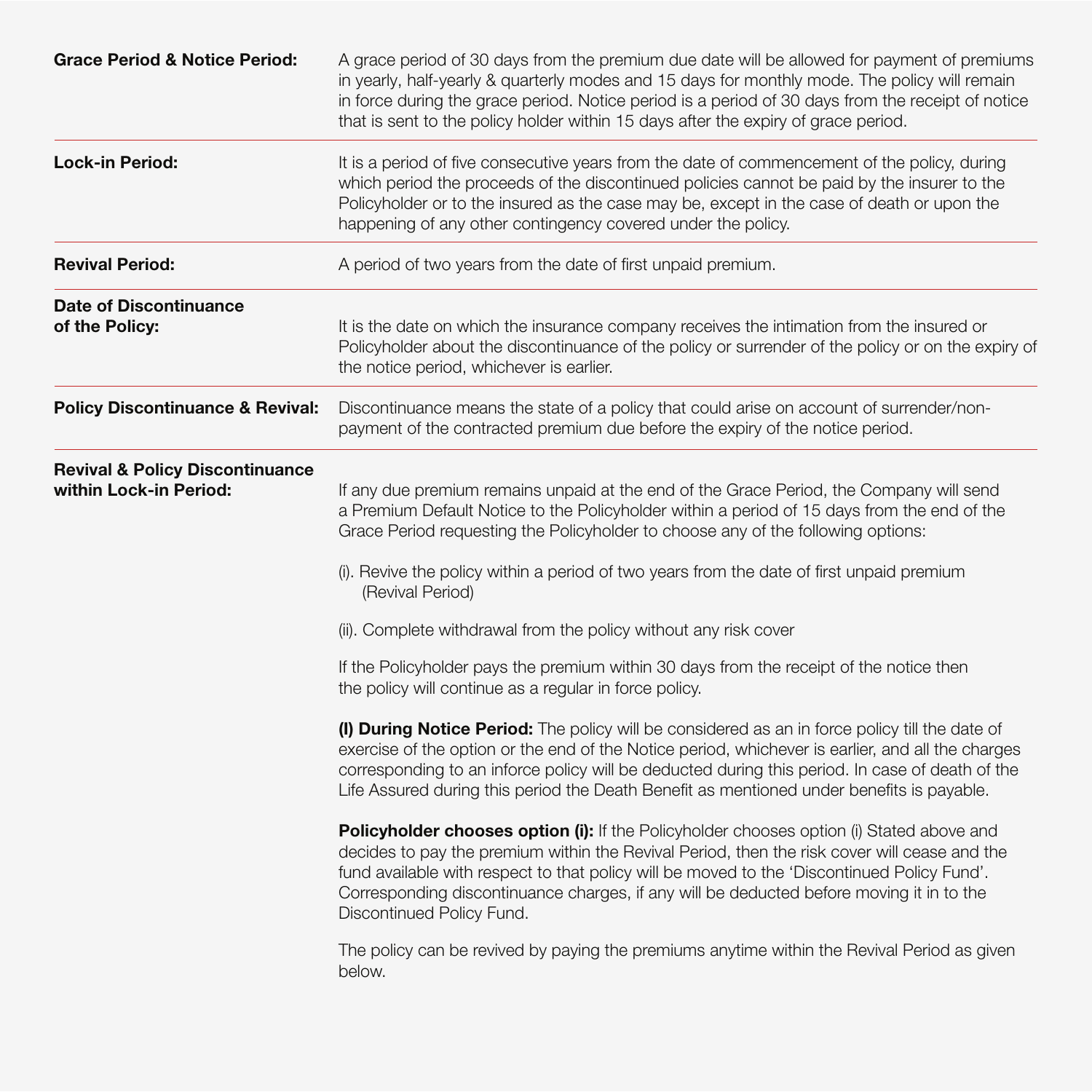| <b>Grace Period &amp; Notice Period:</b>                             | A grace period of 30 days from the premium due date will be allowed for payment of premiums<br>in yearly, half-yearly & quarterly modes and 15 days for monthly mode. The policy will remain<br>in force during the grace period. Notice period is a period of 30 days from the receipt of notice<br>that is sent to the policy holder within 15 days after the expiry of grace period.                                                                                                                                                                                                                                                                                                                                                                                                                                                                                                                                                                                                                                                                                                                                                                                                                                                                                                                                |
|----------------------------------------------------------------------|------------------------------------------------------------------------------------------------------------------------------------------------------------------------------------------------------------------------------------------------------------------------------------------------------------------------------------------------------------------------------------------------------------------------------------------------------------------------------------------------------------------------------------------------------------------------------------------------------------------------------------------------------------------------------------------------------------------------------------------------------------------------------------------------------------------------------------------------------------------------------------------------------------------------------------------------------------------------------------------------------------------------------------------------------------------------------------------------------------------------------------------------------------------------------------------------------------------------------------------------------------------------------------------------------------------------|
| <b>Lock-in Period:</b>                                               | It is a period of five consecutive years from the date of commencement of the policy, during<br>which period the proceeds of the discontinued policies cannot be paid by the insurer to the<br>Policyholder or to the insured as the case may be, except in the case of death or upon the<br>happening of any other contingency covered under the policy.                                                                                                                                                                                                                                                                                                                                                                                                                                                                                                                                                                                                                                                                                                                                                                                                                                                                                                                                                              |
| <b>Revival Period:</b>                                               | A period of two years from the date of first unpaid premium.                                                                                                                                                                                                                                                                                                                                                                                                                                                                                                                                                                                                                                                                                                                                                                                                                                                                                                                                                                                                                                                                                                                                                                                                                                                           |
| <b>Date of Discontinuance</b><br>of the Policy:                      | It is the date on which the insurance company receives the intimation from the insured or<br>Policyholder about the discontinuance of the policy or surrender of the policy or on the expiry of<br>the notice period, whichever is earlier.                                                                                                                                                                                                                                                                                                                                                                                                                                                                                                                                                                                                                                                                                                                                                                                                                                                                                                                                                                                                                                                                            |
| <b>Policy Discontinuance &amp; Revival:</b>                          | Discontinuance means the state of a policy that could arise on account of surrender/non-<br>payment of the contracted premium due before the expiry of the notice period.                                                                                                                                                                                                                                                                                                                                                                                                                                                                                                                                                                                                                                                                                                                                                                                                                                                                                                                                                                                                                                                                                                                                              |
| <b>Revival &amp; Policy Discontinuance</b><br>within Lock-in Period: | If any due premium remains unpaid at the end of the Grace Period, the Company will send<br>a Premium Default Notice to the Policyholder within a period of 15 days from the end of the<br>Grace Period requesting the Policyholder to choose any of the following options:<br>(i). Revive the policy within a period of two years from the date of first unpaid premium<br>(Revival Period)<br>(ii). Complete withdrawal from the policy without any risk cover<br>If the Policyholder pays the premium within 30 days from the receipt of the notice then<br>the policy will continue as a regular in force policy.<br>(I) During Notice Period: The policy will be considered as an in force policy till the date of<br>exercise of the option or the end of the Notice period, whichever is earlier, and all the charges<br>corresponding to an inforce policy will be deducted during this period. In case of death of the<br>Life Assured during this period the Death Benefit as mentioned under benefits is payable.<br>Policyholder chooses option (i): If the Policyholder chooses option (i) Stated above and<br>decides to pay the premium within the Revival Period, then the risk cover will cease and the<br>fund available with respect to that policy will be moved to the 'Discontinued Policy Fund'. |
|                                                                      | Corresponding discontinuance charges, if any will be deducted before moving it in to the<br>Discontinued Policy Fund.<br>The policy can be revived by paying the premiums anytime within the Revival Period as given<br>below.                                                                                                                                                                                                                                                                                                                                                                                                                                                                                                                                                                                                                                                                                                                                                                                                                                                                                                                                                                                                                                                                                         |
|                                                                      |                                                                                                                                                                                                                                                                                                                                                                                                                                                                                                                                                                                                                                                                                                                                                                                                                                                                                                                                                                                                                                                                                                                                                                                                                                                                                                                        |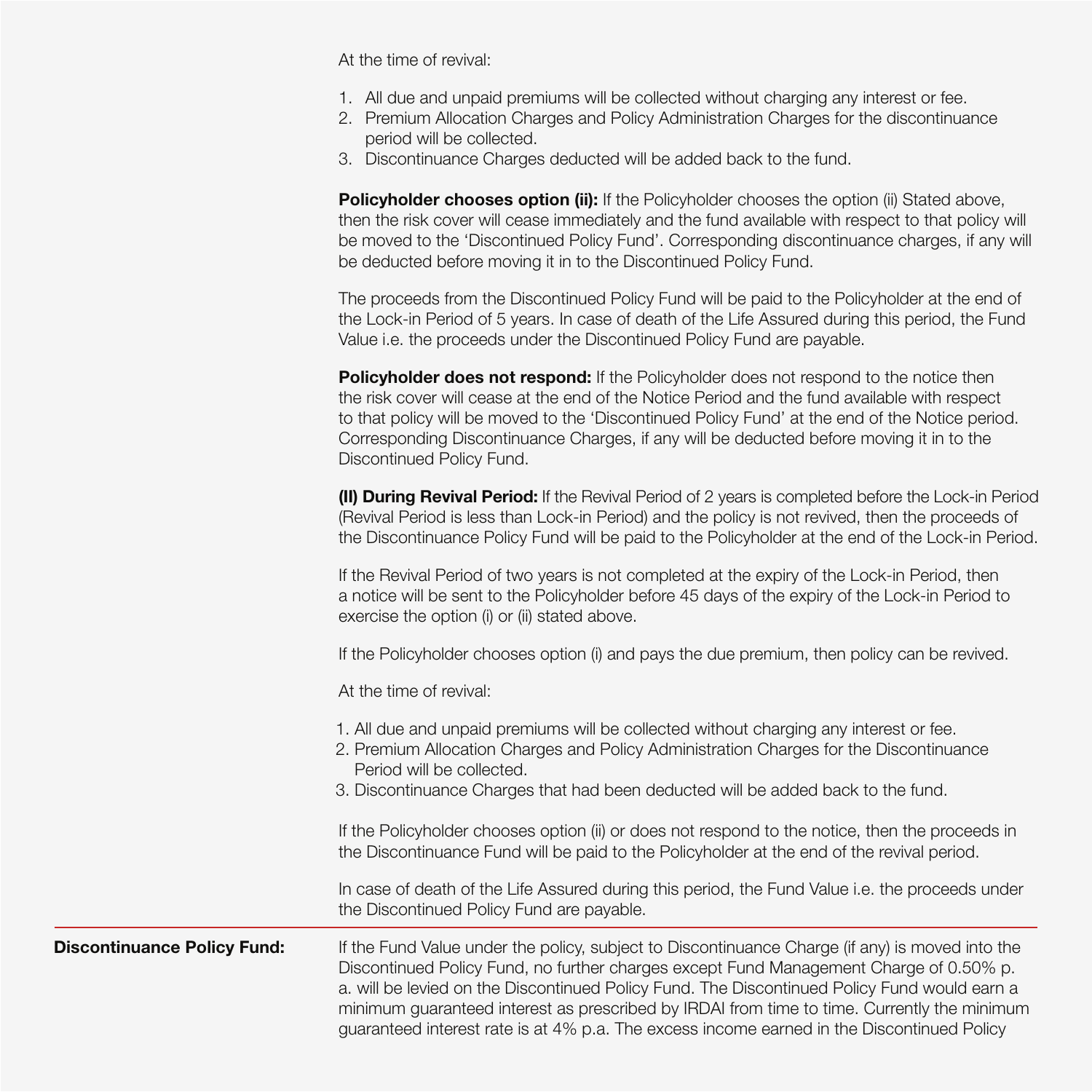At the time of revival:

- 1. All due and unpaid premiums will be collected without charging any interest or fee.
- 2. Premium Allocation Charges and Policy Administration Charges for the discontinuance period will be collected.
- 3. Discontinuance Charges deducted will be added back to the fund.

**Policyholder chooses option (ii):** If the Policyholder chooses the option (ii) Stated above, then the risk cover will cease immediately and the fund available with respect to that policy will be moved to the 'Discontinued Policy Fund'. Corresponding discontinuance charges, if any will be deducted before moving it in to the Discontinued Policy Fund.

The proceeds from the Discontinued Policy Fund will be paid to the Policyholder at the end of the Lock-in Period of 5 years. In case of death of the Life Assured during this period, the Fund Value i.e. the proceeds under the Discontinued Policy Fund are payable.

**Policyholder does not respond:** If the Policyholder does not respond to the notice then the risk cover will cease at the end of the Notice Period and the fund available with respect to that policy will be moved to the 'Discontinued Policy Fund' at the end of the Notice period. Corresponding Discontinuance Charges, if any will be deducted before moving it in to the Discontinued Policy Fund.

**(II) During Revival Period:** If the Revival Period of 2 years is completed before the Lock-in Period (Revival Period is less than Lock-in Period) and the policy is not revived, then the proceeds of the Discontinuance Policy Fund will be paid to the Policyholder at the end of the Lock-in Period.

If the Revival Period of two years is not completed at the expiry of the Lock-in Period, then a notice will be sent to the Policyholder before 45 days of the expiry of the Lock-in Period to exercise the option (i) or (ii) stated above.

If the Policyholder chooses option (i) and pays the due premium, then policy can be revived.

At the time of revival:

|                                    | 1. All due and unpaid premiums will be collected without charging any interest or fee.<br>2. Premium Allocation Charges and Policy Administration Charges for the Discontinuance<br>Period will be collected.<br>3. Discontinuance Charges that had been deducted will be added back to the fund.                                                                                                                                                                                      |
|------------------------------------|----------------------------------------------------------------------------------------------------------------------------------------------------------------------------------------------------------------------------------------------------------------------------------------------------------------------------------------------------------------------------------------------------------------------------------------------------------------------------------------|
|                                    | If the Policyholder chooses option (ii) or does not respond to the notice, then the proceeds in<br>the Discontinuance Fund will be paid to the Policyholder at the end of the revival period.                                                                                                                                                                                                                                                                                          |
|                                    | In case of death of the Life Assured during this period, the Fund Value i.e. the proceeds under<br>the Discontinued Policy Fund are payable.                                                                                                                                                                                                                                                                                                                                           |
| <b>Discontinuance Policy Fund:</b> | If the Fund Value under the policy, subject to Discontinuance Charge (if any) is moved into the<br>Discontinued Policy Fund, no further charges except Fund Management Charge of 0.50% p.<br>a. will be levied on the Discontinued Policy Fund. The Discontinued Policy Fund would earn a<br>minimum guaranteed interest as prescribed by IRDAI from time to time. Currently the minimum<br>guaranteed interest rate is at 4% p.a. The excess income earned in the Discontinued Policy |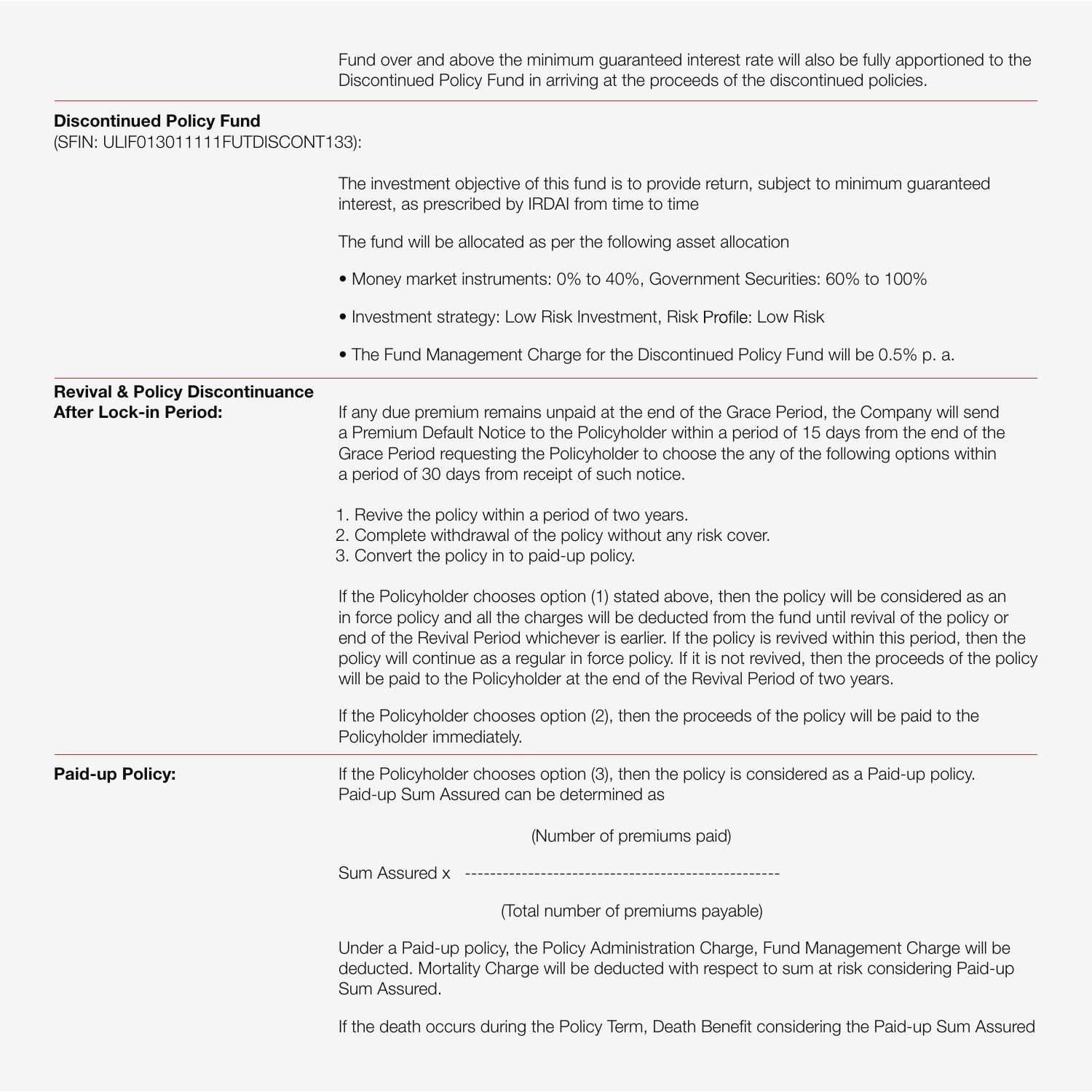# **Discontinued Policy Fund**

(SFIN: ULIF013011111FUTDISCONT133):

|                                                                            | The investment objective of this fund is to provide return, subject to minimum guaranteed<br>interest, as prescribed by IRDAI from time to time                                                                                                                                                                                                                                                                                                                                                                                                                                                                           |
|----------------------------------------------------------------------------|---------------------------------------------------------------------------------------------------------------------------------------------------------------------------------------------------------------------------------------------------------------------------------------------------------------------------------------------------------------------------------------------------------------------------------------------------------------------------------------------------------------------------------------------------------------------------------------------------------------------------|
|                                                                            | The fund will be allocated as per the following asset allocation                                                                                                                                                                                                                                                                                                                                                                                                                                                                                                                                                          |
|                                                                            | • Money market instruments: 0% to 40%, Government Securities: 60% to 100%                                                                                                                                                                                                                                                                                                                                                                                                                                                                                                                                                 |
|                                                                            | • Investment strategy: Low Risk Investment, Risk Profile: Low Risk                                                                                                                                                                                                                                                                                                                                                                                                                                                                                                                                                        |
|                                                                            | • The Fund Management Charge for the Discontinued Policy Fund will be 0.5% p. a.                                                                                                                                                                                                                                                                                                                                                                                                                                                                                                                                          |
| <b>Revival &amp; Policy Discontinuance</b><br><b>After Lock-in Period:</b> | If any due premium remains unpaid at the end of the Grace Period, the Company will send<br>a Premium Default Notice to the Policyholder within a period of 15 days from the end of the<br>Grace Period requesting the Policyholder to choose the any of the following options within<br>a period of 30 days from receipt of such notice.<br>1. Revive the policy within a period of two years.                                                                                                                                                                                                                            |
|                                                                            | 2. Complete withdrawal of the policy without any risk cover.<br>3. Convert the policy in to paid-up policy.<br>If the Policyholder chooses option (1) stated above, then the policy will be considered as an<br>in force policy and all the charges will be deducted from the fund until revival of the policy or<br>end of the Revival Period whichever is earlier. If the policy is revived within this period, then the<br>policy will continue as a regular in force policy. If it is not revived, then the proceeds of the policy<br>will be paid to the Policyholder at the end of the Revival Period of two years. |
|                                                                            | If the Policyholder chooses option (2), then the proceeds of the policy will be paid to the<br>Policyholder immediately.                                                                                                                                                                                                                                                                                                                                                                                                                                                                                                  |
| Paid-up Policy:                                                            | If the Policyholder chooses option (3), then the policy is considered as a Paid-up policy.<br>Paid-up Sum Assured can be determined as                                                                                                                                                                                                                                                                                                                                                                                                                                                                                    |
|                                                                            | (Number of premiums paid)                                                                                                                                                                                                                                                                                                                                                                                                                                                                                                                                                                                                 |
|                                                                            |                                                                                                                                                                                                                                                                                                                                                                                                                                                                                                                                                                                                                           |
|                                                                            | (Total number of premiums payable)                                                                                                                                                                                                                                                                                                                                                                                                                                                                                                                                                                                        |
|                                                                            | Under a Paid-up policy, the Policy Administration Charge, Fund Management Charge will be<br>deducted. Mortality Charge will be deducted with respect to sum at risk considering Paid-up<br>Sum Assured.                                                                                                                                                                                                                                                                                                                                                                                                                   |
|                                                                            | If the death occurs during the Policy Term, Death Benefit considering the Paid-up Sum Assured                                                                                                                                                                                                                                                                                                                                                                                                                                                                                                                             |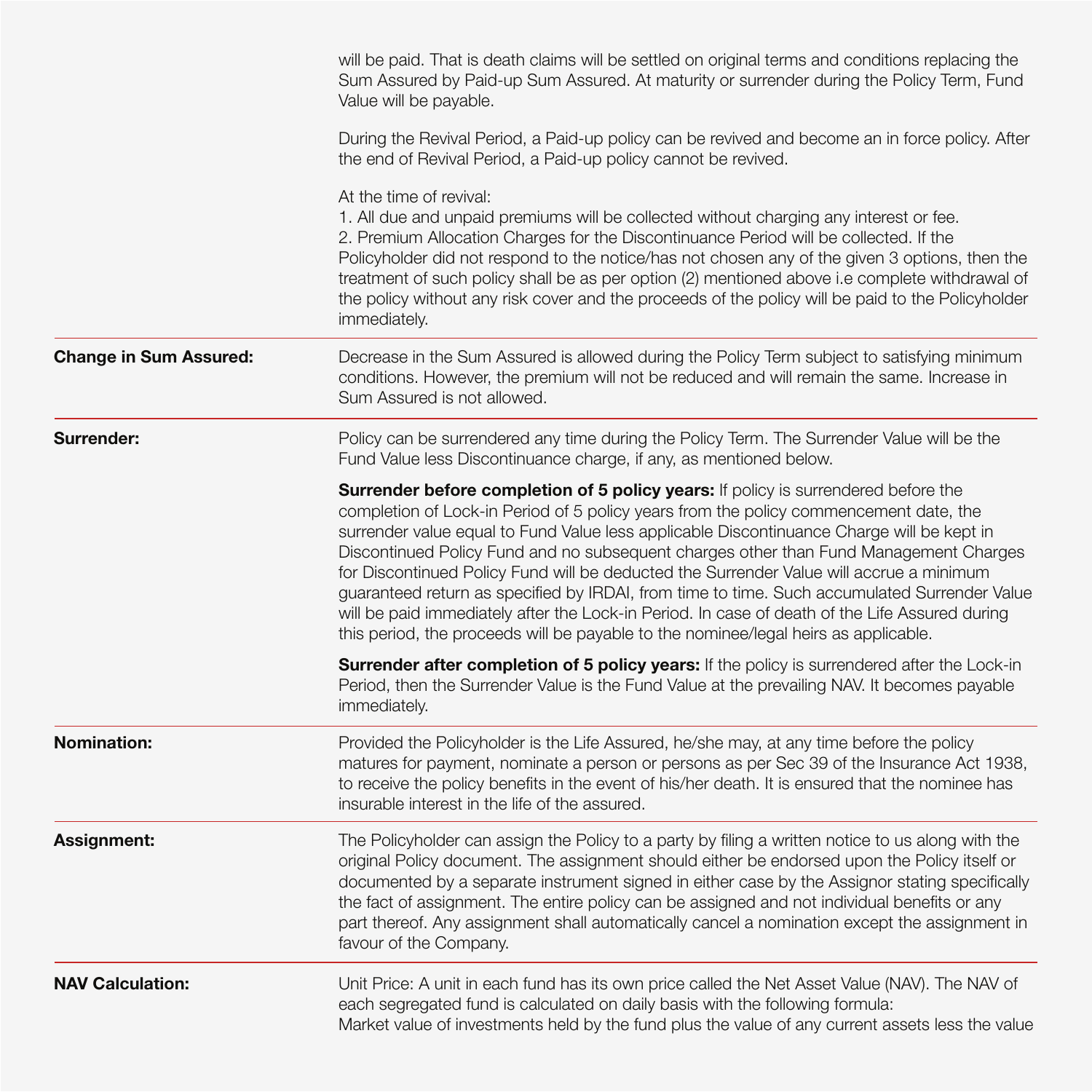|                               | will be paid. That is death claims will be settled on original terms and conditions replacing the<br>Sum Assured by Paid-up Sum Assured. At maturity or surrender during the Policy Term, Fund<br>Value will be payable.                                                                                                                                                                                                                                                                                                                                                                                                                                                                                                                              |
|-------------------------------|-------------------------------------------------------------------------------------------------------------------------------------------------------------------------------------------------------------------------------------------------------------------------------------------------------------------------------------------------------------------------------------------------------------------------------------------------------------------------------------------------------------------------------------------------------------------------------------------------------------------------------------------------------------------------------------------------------------------------------------------------------|
|                               | During the Revival Period, a Paid-up policy can be revived and become an in force policy. After<br>the end of Revival Period, a Paid-up policy cannot be revived.                                                                                                                                                                                                                                                                                                                                                                                                                                                                                                                                                                                     |
|                               | At the time of revival:<br>1. All due and unpaid premiums will be collected without charging any interest or fee.<br>2. Premium Allocation Charges for the Discontinuance Period will be collected. If the<br>Policyholder did not respond to the notice/has not chosen any of the given 3 options, then the<br>treatment of such policy shall be as per option (2) mentioned above i.e complete withdrawal of<br>the policy without any risk cover and the proceeds of the policy will be paid to the Policyholder<br>immediately.                                                                                                                                                                                                                   |
| <b>Change in Sum Assured:</b> | Decrease in the Sum Assured is allowed during the Policy Term subject to satisfying minimum<br>conditions. However, the premium will not be reduced and will remain the same. Increase in<br>Sum Assured is not allowed.                                                                                                                                                                                                                                                                                                                                                                                                                                                                                                                              |
| Surrender:                    | Policy can be surrendered any time during the Policy Term. The Surrender Value will be the<br>Fund Value less Discontinuance charge, if any, as mentioned below.                                                                                                                                                                                                                                                                                                                                                                                                                                                                                                                                                                                      |
|                               | Surrender before completion of 5 policy years: If policy is surrendered before the<br>completion of Lock-in Period of 5 policy years from the policy commencement date, the<br>surrender value equal to Fund Value less applicable Discontinuance Charge will be kept in<br>Discontinued Policy Fund and no subsequent charges other than Fund Management Charges<br>for Discontinued Policy Fund will be deducted the Surrender Value will accrue a minimum<br>guaranteed return as specified by IRDAI, from time to time. Such accumulated Surrender Value<br>will be paid immediately after the Lock-in Period. In case of death of the Life Assured during<br>this period, the proceeds will be payable to the nominee/legal heirs as applicable. |
|                               | Surrender after completion of 5 policy years: If the policy is surrendered after the Lock-in<br>Period, then the Surrender Value is the Fund Value at the prevailing NAV. It becomes payable<br>immediately.                                                                                                                                                                                                                                                                                                                                                                                                                                                                                                                                          |
| <b>Nomination:</b>            | Provided the Policyholder is the Life Assured, he/she may, at any time before the policy<br>matures for payment, nominate a person or persons as per Sec 39 of the Insurance Act 1938,<br>to receive the policy benefits in the event of his/her death. It is ensured that the nominee has<br>insurable interest in the life of the assured.                                                                                                                                                                                                                                                                                                                                                                                                          |
| Assignment:                   | The Policyholder can assign the Policy to a party by filing a written notice to us along with the<br>original Policy document. The assignment should either be endorsed upon the Policy itself or<br>documented by a separate instrument signed in either case by the Assignor stating specifically<br>the fact of assignment. The entire policy can be assigned and not individual benefits or any<br>part thereof. Any assignment shall automatically cancel a nomination except the assignment in<br>favour of the Company.                                                                                                                                                                                                                        |
| <b>NAV Calculation:</b>       | Unit Price: A unit in each fund has its own price called the Net Asset Value (NAV). The NAV of<br>each segregated fund is calculated on daily basis with the following formula:<br>Market value of investments held by the fund plus the value of any current assets less the value                                                                                                                                                                                                                                                                                                                                                                                                                                                                   |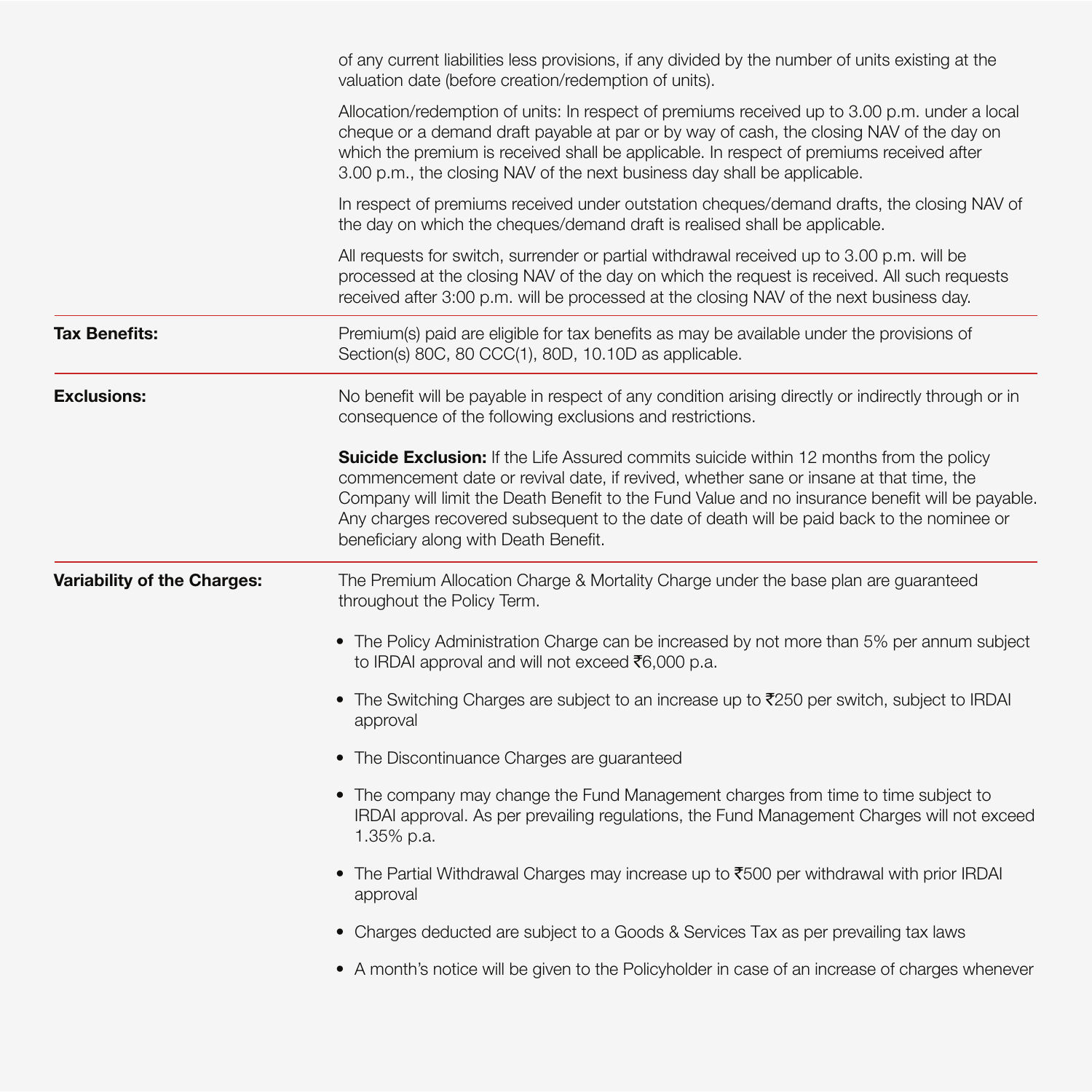|                             | of any current liabilities less provisions, if any divided by the number of units existing at the<br>valuation date (before creation/redemption of units).                                                                                                                                                                                                                                                                   |
|-----------------------------|------------------------------------------------------------------------------------------------------------------------------------------------------------------------------------------------------------------------------------------------------------------------------------------------------------------------------------------------------------------------------------------------------------------------------|
|                             | Allocation/redemption of units: In respect of premiums received up to 3.00 p.m. under a local<br>cheque or a demand draft payable at par or by way of cash, the closing NAV of the day on<br>which the premium is received shall be applicable. In respect of premiums received after<br>3.00 p.m., the closing NAV of the next business day shall be applicable.                                                            |
|                             | In respect of premiums received under outstation cheques/demand drafts, the closing NAV of<br>the day on which the cheques/demand draft is realised shall be applicable.                                                                                                                                                                                                                                                     |
|                             | All requests for switch, surrender or partial withdrawal received up to 3.00 p.m. will be<br>processed at the closing NAV of the day on which the request is received. All such requests<br>received after 3:00 p.m. will be processed at the closing NAV of the next business day.                                                                                                                                          |
| <b>Tax Benefits:</b>        | Premium(s) paid are eligible for tax benefits as may be available under the provisions of<br>Section(s) 80C, 80 CCC(1), 80D, 10.10D as applicable.                                                                                                                                                                                                                                                                           |
| <b>Exclusions:</b>          | No benefit will be payable in respect of any condition arising directly or indirectly through or in<br>consequence of the following exclusions and restrictions.                                                                                                                                                                                                                                                             |
|                             | Suicide Exclusion: If the Life Assured commits suicide within 12 months from the policy<br>commencement date or revival date, if revived, whether sane or insane at that time, the<br>Company will limit the Death Benefit to the Fund Value and no insurance benefit will be payable.<br>Any charges recovered subsequent to the date of death will be paid back to the nominee or<br>beneficiary along with Death Benefit. |
| Variability of the Charges: | The Premium Allocation Charge & Mortality Charge under the base plan are guaranteed<br>throughout the Policy Term.                                                                                                                                                                                                                                                                                                           |
|                             | • The Policy Administration Charge can be increased by not more than 5% per annum subject<br>to IRDAI approval and will not exceed ₹6,000 p.a.                                                                                                                                                                                                                                                                               |
|                             | • The Switching Charges are subject to an increase up to ₹250 per switch, subject to IRDAI<br>approval                                                                                                                                                                                                                                                                                                                       |
|                             | • The Discontinuance Charges are guaranteed                                                                                                                                                                                                                                                                                                                                                                                  |
|                             | • The company may change the Fund Management charges from time to time subject to<br>IRDAI approval. As per prevailing regulations, the Fund Management Charges will not exceed<br>1.35% p.a.                                                                                                                                                                                                                                |
|                             | . The Partial Withdrawal Charges may increase up to ₹500 per withdrawal with prior IRDAI<br>approval                                                                                                                                                                                                                                                                                                                         |
|                             | • Charges deducted are subject to a Goods & Services Tax as per prevailing tax laws                                                                                                                                                                                                                                                                                                                                          |
|                             | • A month's notice will be given to the Policyholder in case of an increase of charges whenever                                                                                                                                                                                                                                                                                                                              |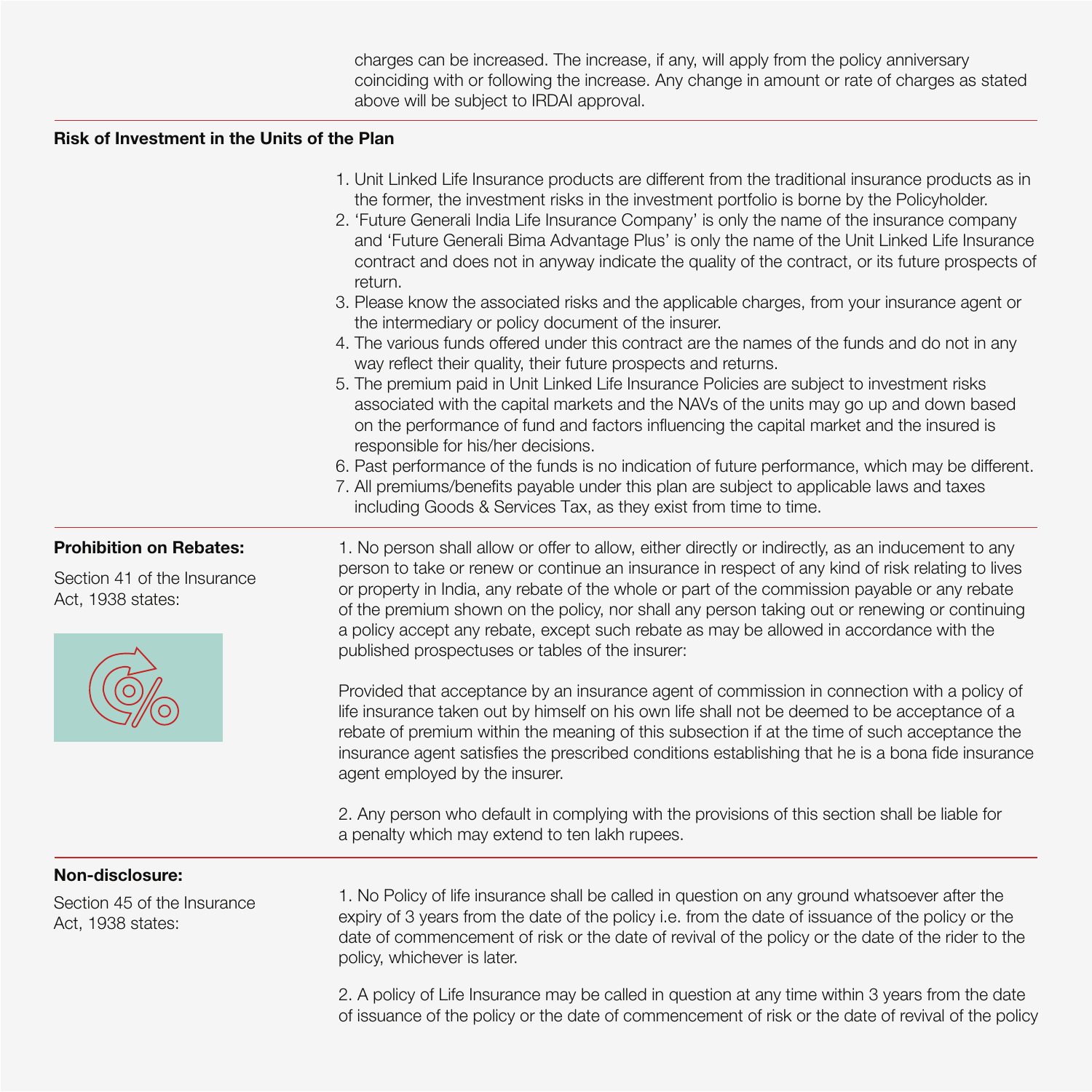charges can be increased. The increase, if any, will apply from the policy anniversary coinciding with or following the increase. Any change in amount or rate of charges as stated above will be subject to IRDAI approval.

### **Risk of Investment in the Units of the Plan**

| 1. Unit Linked Life Insurance products are different from the traditional insurance products as in |
|----------------------------------------------------------------------------------------------------|
| the former, the investment risks in the investment portfolio is borne by the Policyholder.         |

- 2. 'Future Generali India Life Insurance Company' is only the name of the insurance company and 'Future Generali Bima Advantage Plus' is only the name of the Unit Linked Life Insurance contract and does not in anyway indicate the quality of the contract, or its future prospects of return.
- 3. Please know the associated risks and the applicable charges, from your insurance agent or the intermediary or policy document of the insurer.
- 4. The various funds offered under this contract are the names of the funds and do not in any way reflect their quality, their future prospects and returns.
- 5. The premium paid in Unit Linked Life Insurance Policies are subject to investment risks associated with the capital markets and the NAVs of the units may go up and down based on the performance of fund and factors influencing the capital market and the insured is responsible for his/her decisions.
- 6. Past performance of the funds is no indication of future performance, which may be different.
- 7. All premiums/benefits payable under this plan are subject to applicable laws and taxes including Goods & Services Tax, as they exist from time to time.

Section 41 of the Insurance Act, 1938 states:



**Prohibition on Rebates:** 1. No person shall allow or offer to allow, either directly or indirectly, as an inducement to any person to take or renew or continue an insurance in respect of any kind of risk relating to lives or property in India, any rebate of the whole or part of the commission payable or any rebate of the premium shown on the policy, nor shall any person taking out or renewing or continuing a policy accept any rebate, except such rebate as may be allowed in accordance with the published prospectuses or tables of the insurer:

> Provided that acceptance by an insurance agent of commission in connection with a policy of life insurance taken out by himself on his own life shall not be deemed to be acceptance of a rebate of premium within the meaning of this subsection if at the time of such acceptance the insurance agent satisfies the prescribed conditions establishing that he is a bona fide insurance agent employed by the insurer.

2. Any person who default in complying with the provisions of this section shall be liable for a penalty which may extend to ten lakh rupees.

# **Non-disclosure:**

Section 45 of the Insurance Act, 1938 states:

1. No Policy of life insurance shall be called in question on any ground whatsoever after the expiry of 3 years from the date of the policy i.e. from the date of issuance of the policy or the date of commencement of risk or the date of revival of the policy or the date of the rider to the policy, whichever is later.

2. A policy of Life Insurance may be called in question at any time within 3 years from the date of issuance of the policy or the date of commencement of risk or the date of revival of the policy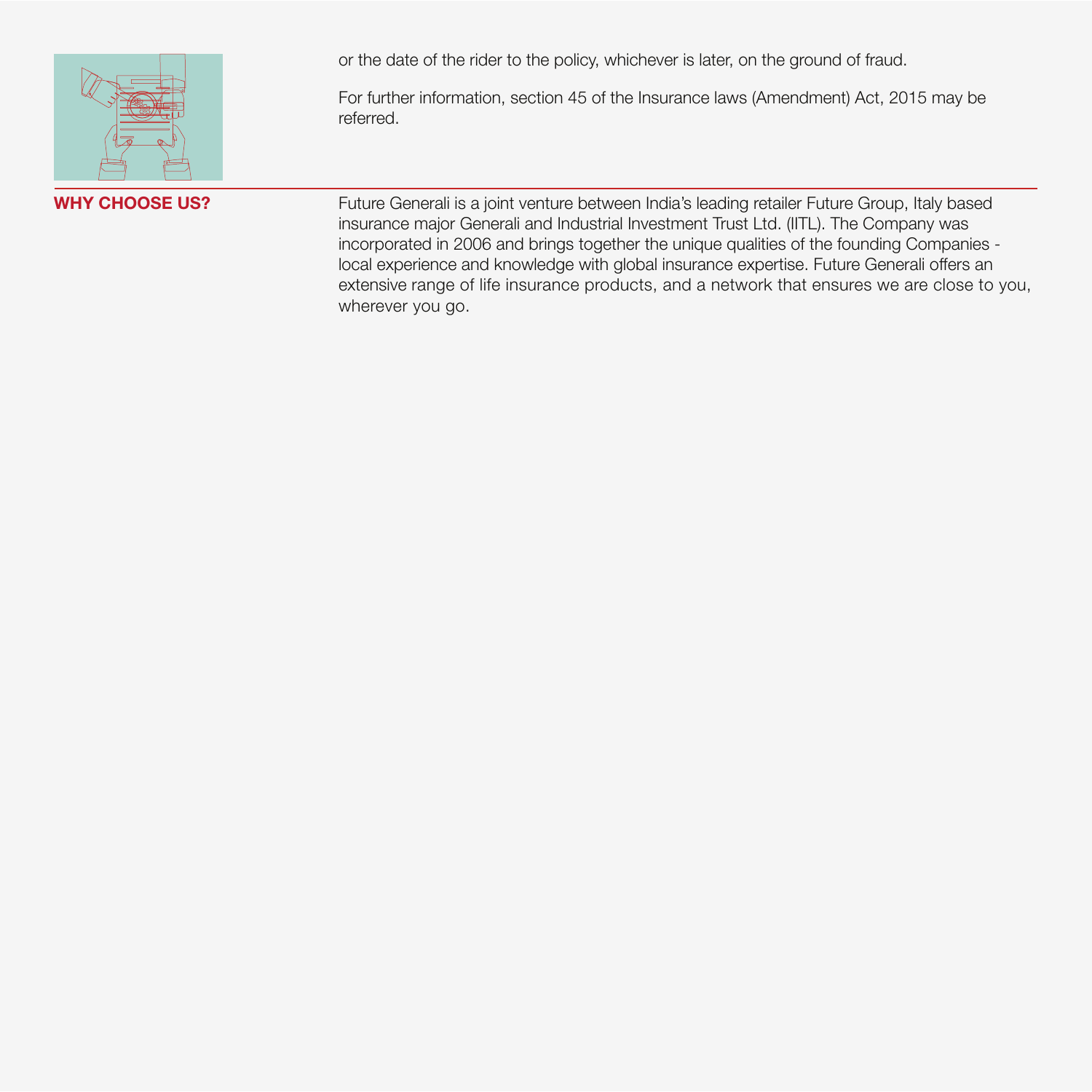

or the date of the rider to the policy, whichever is later, on the ground of fraud.

For further information, section 45 of the Insurance laws (Amendment) Act, 2015 may be referred.

WHY CHOOSE US? Future Generali is a joint venture between India's leading retailer Future Group, Italy based insurance major Generali and Industrial Investment Trust Ltd. (IITL). The Company was incorporated in 2006 and brings together the unique qualities of the founding Companies local experience and knowledge with global insurance expertise. Future Generali offers an extensive range of life insurance products, and a network that ensures we are close to you, wherever you go.